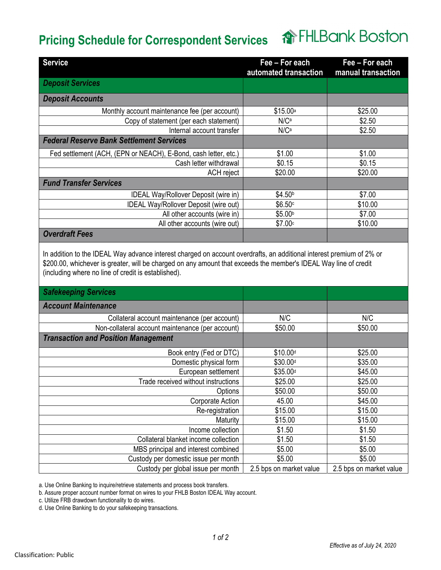## **俞FHLBank Boston Pricing Schedule for Correspondent Services**

| <b>Service</b>                                                  | Fee - For each<br>automated transaction | Fee - For each<br>manual transaction |
|-----------------------------------------------------------------|-----------------------------------------|--------------------------------------|
| <b>Deposit Services</b>                                         |                                         |                                      |
| <b>Deposit Accounts</b>                                         |                                         |                                      |
| Monthly account maintenance fee (per account)                   | \$15.00a                                | \$25.00                              |
| Copy of statement (per each statement)                          | $N/C^a$                                 | \$2.50                               |
| Internal account transfer                                       | $N/C^a$                                 | \$2.50                               |
| <b>Federal Reserve Bank Settlement Services</b>                 |                                         |                                      |
| Fed settlement (ACH, (EPN or NEACH), E-Bond, cash letter, etc.) | \$1.00                                  | \$1.00                               |
| Cash letter withdrawal                                          | \$0.15                                  | \$0.15                               |
| ACH reject                                                      | \$20.00                                 | \$20.00                              |
| <b>Fund Transfer Services</b>                                   |                                         |                                      |
| IDEAL Way/Rollover Deposit (wire in)                            | \$4.50 <sup>b</sup>                     | \$7.00                               |
| <b>IDEAL Way/Rollover Deposit (wire out)</b>                    | \$6.50 <sup>c</sup>                     | \$10.00                              |
| All other accounts (wire in)                                    | \$5.00 <sup>b</sup>                     | \$7.00                               |
| All other accounts (wire out)                                   | \$7.00 <sub>c</sub>                     | \$10.00                              |
| <b>Overdraft Fees</b>                                           |                                         |                                      |

In addition to the IDEAL Way advance interest charged on account overdrafts, an additional interest premium of 2% or \$200.00, whichever is greater, will be charged on any amount that exceeds the member's IDEAL Way line of credit (including where no line of credit is established).

| <b>Safekeeping Services</b>                      |                         |                         |
|--------------------------------------------------|-------------------------|-------------------------|
| <b>Account Maintenance</b>                       |                         |                         |
| Collateral account maintenance (per account)     | N/C                     | N/C                     |
| Non-collateral account maintenance (per account) | \$50.00                 | \$50.00                 |
| <b>Transaction and Position Management</b>       |                         |                         |
| Book entry (Fed or DTC)                          | \$10.00 <sup>d</sup>    | \$25.00                 |
| Domestic physical form                           | \$30.00 <sup>d</sup>    | \$35.00                 |
| European settlement                              | \$35.00 <sup>d</sup>    | \$45.00                 |
| Trade received without instructions              | \$25.00                 | \$25.00                 |
| Options                                          | \$50.00                 | \$50.00                 |
| Corporate Action                                 | 45.00                   | \$45.00                 |
| Re-registration                                  | \$15.00                 | \$15.00                 |
| Maturity                                         | \$15.00                 | \$15.00                 |
| Income collection                                | \$1.50                  | \$1.50                  |
| Collateral blanket income collection             | \$1.50                  | \$1.50                  |
| MBS principal and interest combined              | \$5.00                  | \$5.00                  |
| Custody per domestic issue per month             | \$5.00                  | \$5.00                  |
| Custody per global issue per month               | 2.5 bps on market value | 2.5 bps on market value |

a. Use Online Banking to inquire/retrieve statements and process book transfers.

b. Assure proper account number format on wires to your FHLB Boston IDEAL Way account.

c. Utilize FRB drawdown functionality to do wires.

d. Use Online Banking to do your safekeeping transactions.